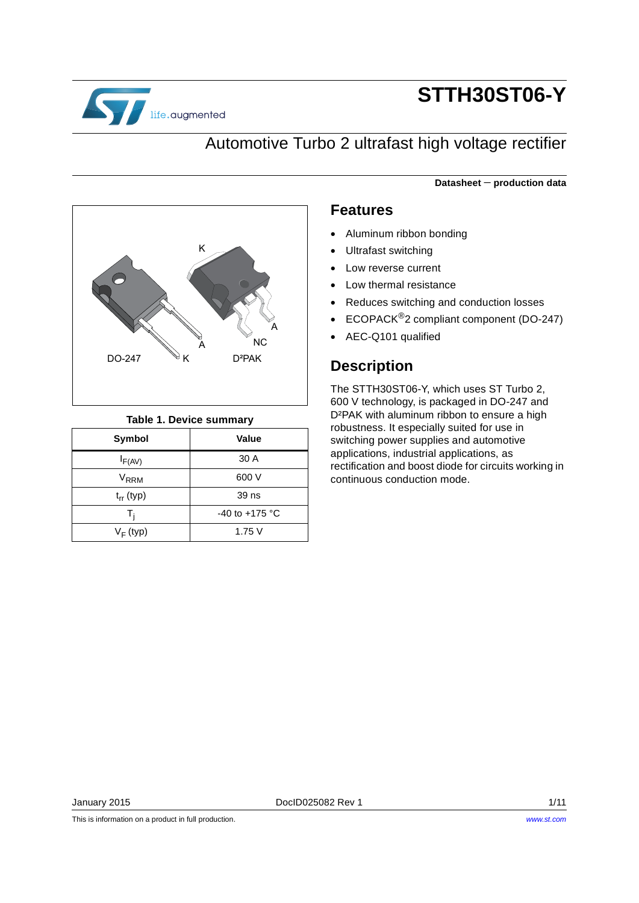

# **STTH30ST06-Y**

**Datasheet** − **production data**

### Automotive Turbo 2 ultrafast high voltage rectifier



#### **Table 1. Device summary**

| Symbol           | Value                    |
|------------------|--------------------------|
| $I_{F(AV)}$      | 30 A                     |
| V <sub>RRM</sub> | 600 V                    |
| $t_{rr}$ (typ)   | 39 ns                    |
| T.               | -40 to +175 $^{\circ}$ C |
| $V_F$ (typ)      | 1.75V                    |

#### **Features**

- Aluminum ribbon bonding
- Ultrafast switching
- Low reverse current
- Low thermal resistance
- Reduces switching and conduction losses
- ECOPACK®2 compliant component (DO-247)
- AEC-Q101 qualified

### **Description**

The STTH30ST06-Y, which uses ST Turbo 2, 600 V technology, is packaged in DO-247 and D²PAK with aluminum ribbon to ensure a high robustness. It especially suited for use in switching power supplies and automotive applications, industrial applications, as rectification and boost diode for circuits working in continuous conduction mode.

This is information on a product in full production.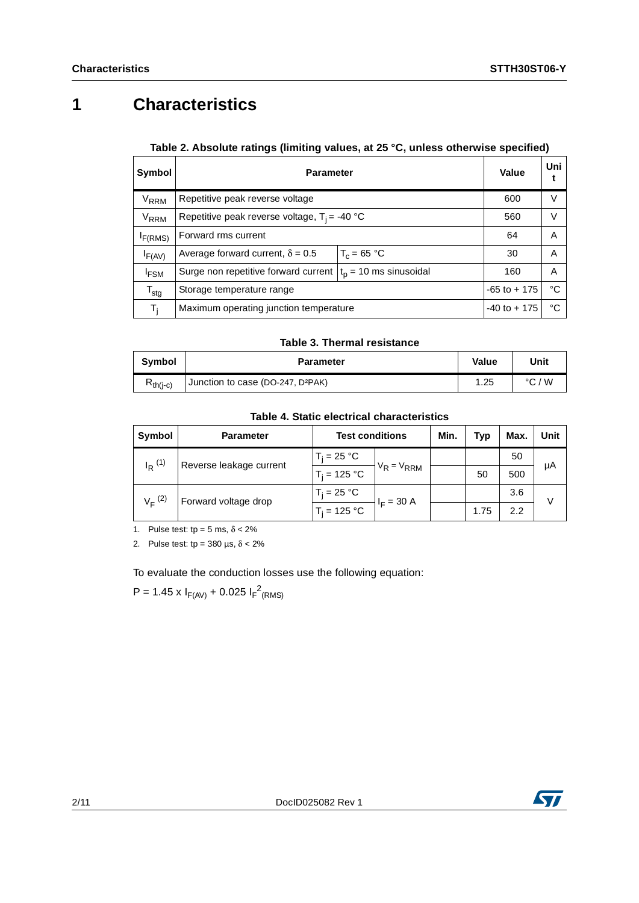## **1 Characteristics**

| Table 2. Absolute ratings (limiting values, at 25 °C, unless otherwise specified) |  |  |  |
|-----------------------------------------------------------------------------------|--|--|--|

| Symbol                 | <b>Parameter</b>                                                | Value                                  | Uni    |   |  |
|------------------------|-----------------------------------------------------------------|----------------------------------------|--------|---|--|
| V <sub>RRM</sub>       | Repetitive peak reverse voltage                                 | 600                                    | $\vee$ |   |  |
| <b>V<sub>RRM</sub></b> | Repetitive peak reverse voltage, $T_i = -40$ °C                 | 560                                    | V      |   |  |
| I <sub>F(RMS)</sub>    | Forward rms current                                             | 64                                     | A      |   |  |
| $I_{F(AV)}$            | $T_c = 65 °C$<br>Average forward current, $\delta = 0.5$        |                                        | 30     | A |  |
| <sup>I</sup> FSM       | Surge non repetitive forward current $ t_0  = 10$ ms sinusoidal |                                        | 160    | A |  |
| $T_{\text{stg}}$       | Storage temperature range                                       | $-65$ to $+175$                        | °C     |   |  |
| T,                     |                                                                 | Maximum operating junction temperature |        |   |  |

#### **Table 3. Thermal resistance**

| <b>Symbol</b> | <b>Parameter</b>                              | Value | Unit            |
|---------------|-----------------------------------------------|-------|-----------------|
| $R_{th(i-c)}$ | Junction to case (DO-247, D <sup>2</sup> PAK) | .25   | $\degree$ C / W |

**Table 4. Static electrical characteristics**

| Symbol                  | <b>Parameter</b>     | <b>Test conditions</b> |              | Min. | Typ  | Max. | Unit |
|-------------------------|----------------------|------------------------|--------------|------|------|------|------|
| $I_R$ <sup>(1)</sup>    | $T_i$ = 25 °C.       |                        |              |      |      | 50   | μA   |
| Reverse leakage current | $T_i = 125 °C$       | $V_R = V_{RRM}$        |              | 50   | 500  |      |      |
| $V_F^{(2)}$             | Forward voltage drop |                        | $I_F = 30 A$ |      |      | 3.6  | V    |
|                         |                      | $T_i = 125 °C$         |              |      | 1.75 | 2.2  |      |

1. Pulse test: tp =  $5 \text{ ms}, \delta < 2\%$ 

2. Pulse test: tp =  $380 \text{ }\mu\text{s}, \delta < 2\%$ 

To evaluate the conduction losses use the following equation:

 $P = 1.45 \times I_{F(AV)} + 0.025 I_{F}^{2}$ <sub>(RMS)</sub>

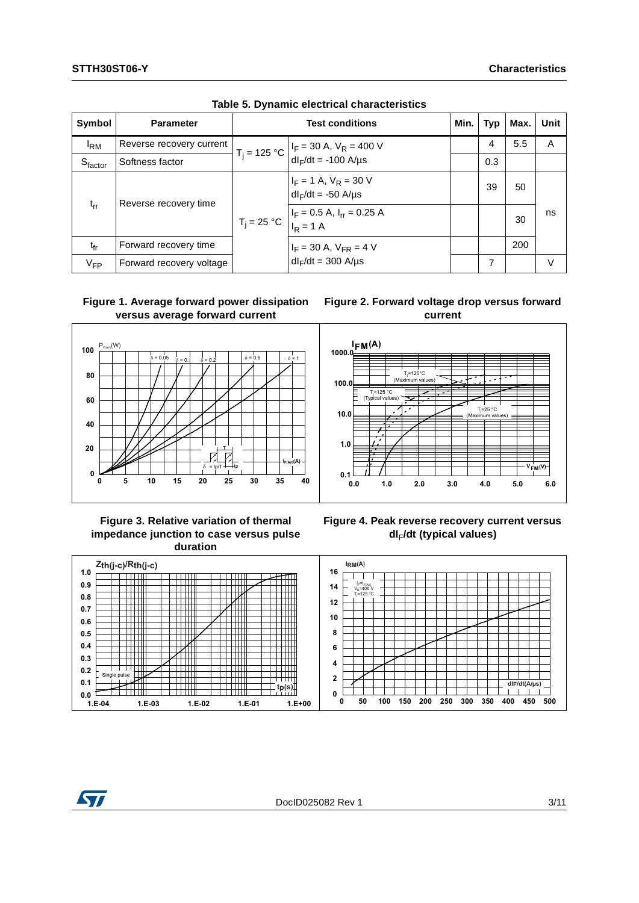| Symbol          | <b>Parameter</b>         |  | Min.                                                                                                                | Typ | Max. | Unit |    |
|-----------------|--------------------------|--|---------------------------------------------------------------------------------------------------------------------|-----|------|------|----|
| <sup>I</sup> RM | Reverse recovery current |  | $T_j = 125 °C \begin{vmatrix} I_F = 30 \text{ A}, V_R = 400 \text{ V} \\ dl_F/dt = -100 \text{ A/µs} \end{vmatrix}$ |     | 4    | 5.5  | A  |
| $S_{factor}$    | Softness factor          |  |                                                                                                                     |     | 0.3  |      |    |
|                 |                          |  | $I_F = 1$ A, $V_R = 30$ V<br>$dl_F/dt = -50$ A/µs                                                                   |     | 39   | 50   |    |
| $t_{rr}$        | Reverse recovery time    |  | $T_j = 25 °C$ $\begin{vmatrix} I_F = 0.5 A, I_{rr} = 0.25 A \\ I_R = 1 A \end{vmatrix}$                             |     |      | 30   | ns |
| $t_{fr}$        | Forward recovery time    |  | $I_F = 30$ A, $V_{FR} = 4$ V                                                                                        |     |      | 200  |    |
| $V_{FP}$        | Forward recovery voltage |  | $dl_F/dt = 300$ A/ $\mu s$                                                                                          |     | 7    |      | V  |



#### **Figure 1. Average forward power dissipation versus average forward current**



#### **Figure 2. Forward voltage drop versus forward current**



#### **Figure 3. Relative variation of thermal impedance junction to case versus pulse duration**





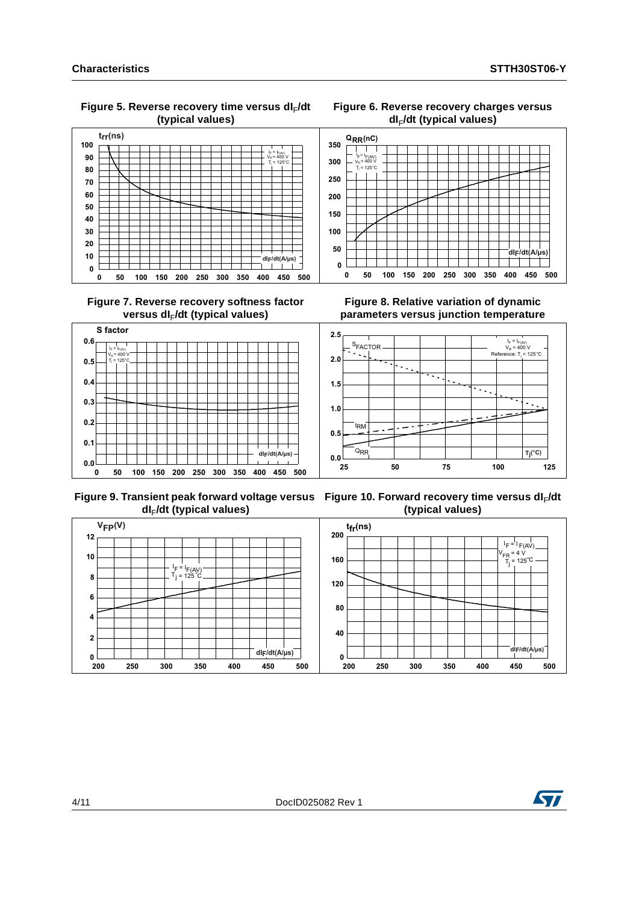**Figure 5. Reverse recovery time versus dI**F**/dt (typical values)**



 **Figure 7. Reverse recovery softness factor**  versus dl<sub>F</sub>/dt (typical values)



 **Figure 9. Transient peak forward voltage versus Figure 10. Forward recovery time versus dI**F**/dt dI**F**/dt (typical values)**

**Figure 6. Reverse recovery charges versus dI**F**/dt (typical values)**



**Figure 8. Relative variation of dynamic parameters versus junction temperature**



**(typical values)**



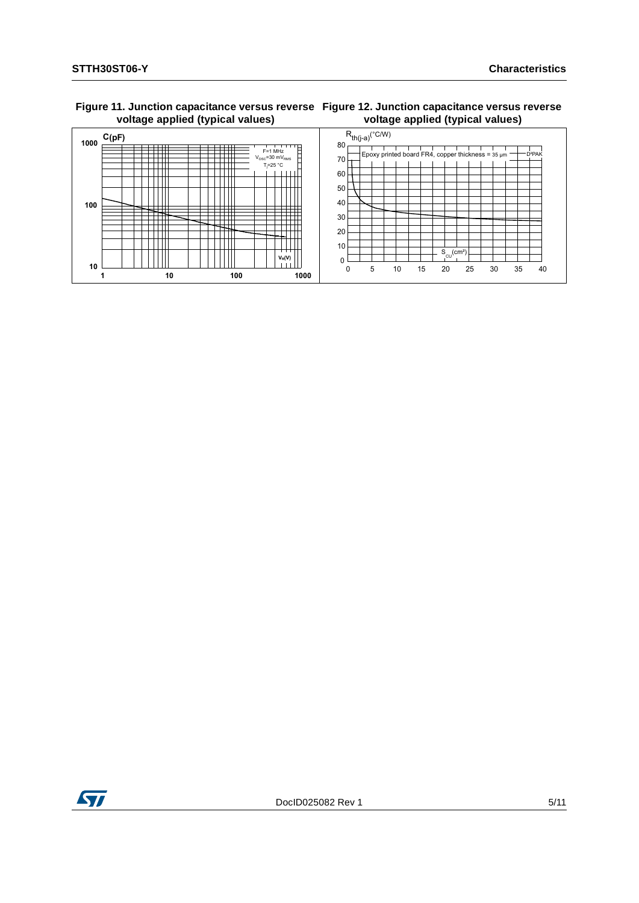#### **Figure 11. Junction capacitance versus reverse Figure 12. Junction capacitance versus reverse voltage applied (typical values)**





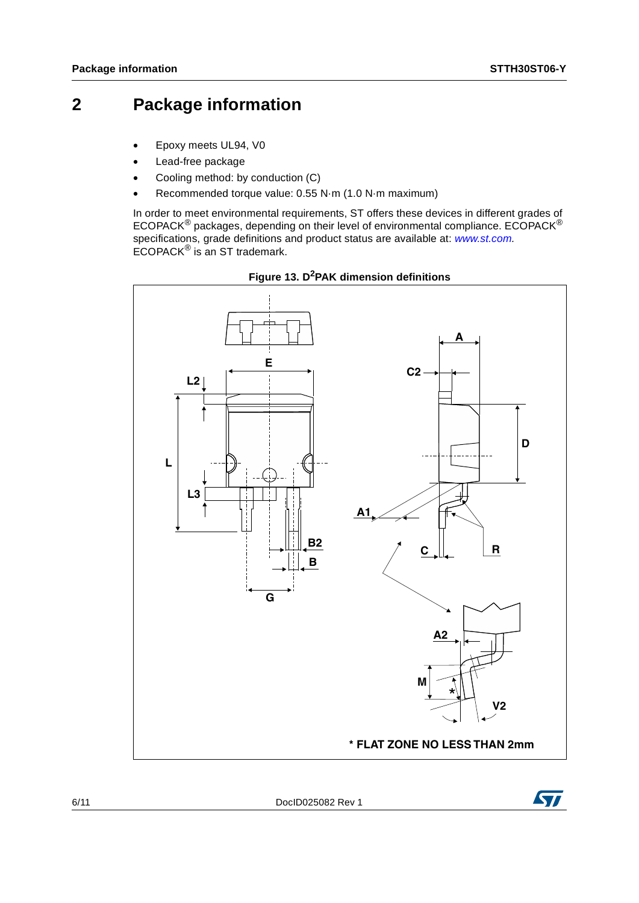### **2 Package information**

- Epoxy meets UL94, V0
- Lead-free package
- Cooling method: by conduction (C)
- Recommended torque value: 0.55 N·m (1.0 N·m maximum)

In order to meet environmental requirements, ST offers these devices in different grades of ECOPACK<sup>®</sup> packages, depending on their level of environmental compliance. ECOPACK<sup>®</sup> specifications, grade definitions and product status are available at: *[www.st.com](http://www.st.com).* ECOPACK® is an ST trademark.





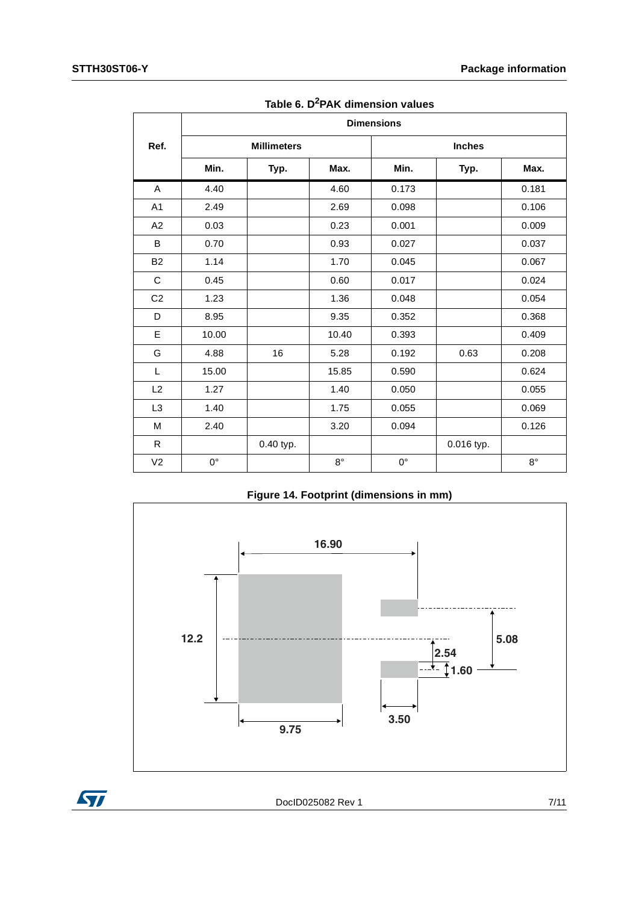|                | <b>Dimensions</b>  |           |             |             |            |               |  |  |
|----------------|--------------------|-----------|-------------|-------------|------------|---------------|--|--|
| Ref.           | <b>Millimeters</b> |           |             |             |            | <b>Inches</b> |  |  |
|                | Min.               | Typ.      | Max.        | Min.        | Typ.       | Max.          |  |  |
| A              | 4.40               |           | 4.60        | 0.173       |            | 0.181         |  |  |
| A1             | 2.49               |           | 2.69        | 0.098       |            | 0.106         |  |  |
| A2             | 0.03               |           | 0.23        | 0.001       |            | 0.009         |  |  |
| B              | 0.70               |           | 0.93        | 0.027       |            | 0.037         |  |  |
| <b>B2</b>      | 1.14               |           | 1.70        | 0.045       |            | 0.067         |  |  |
| C              | 0.45               |           | 0.60        | 0.017       |            | 0.024         |  |  |
| C <sub>2</sub> | 1.23               |           | 1.36        | 0.048       |            | 0.054         |  |  |
| D              | 8.95               |           | 9.35        | 0.352       |            | 0.368         |  |  |
| Е              | 10.00              |           | 10.40       | 0.393       |            | 0.409         |  |  |
| G              | 4.88               | 16        | 5.28        | 0.192       | 0.63       | 0.208         |  |  |
| L              | 15.00              |           | 15.85       | 0.590       |            | 0.624         |  |  |
| L2             | 1.27               |           | 1.40        | 0.050       |            | 0.055         |  |  |
| L <sub>3</sub> | 1.40               |           | 1.75        | 0.055       |            | 0.069         |  |  |
| M              | 2.40               |           | 3.20        | 0.094       |            | 0.126         |  |  |
| R              |                    | 0.40 typ. |             |             | 0.016 typ. |               |  |  |
| V <sub>2</sub> | $0^{\circ}$        |           | $8^{\circ}$ | $0^{\circ}$ |            | $8^{\circ}$   |  |  |

**Table 6. D2PAK dimension values**

**Figure 14. Footprint (dimensions in mm)**



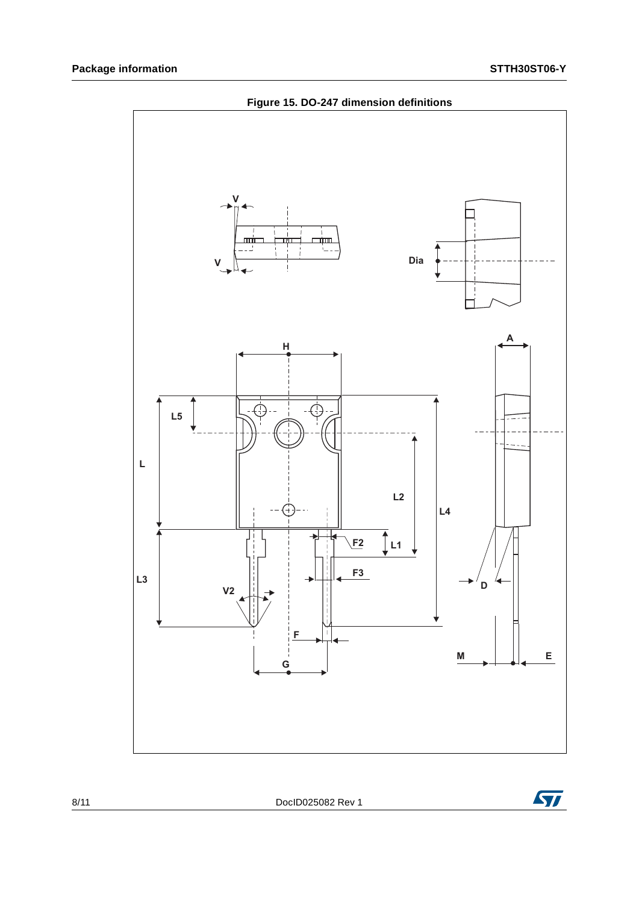

8/11 DocID025082 Rev 1

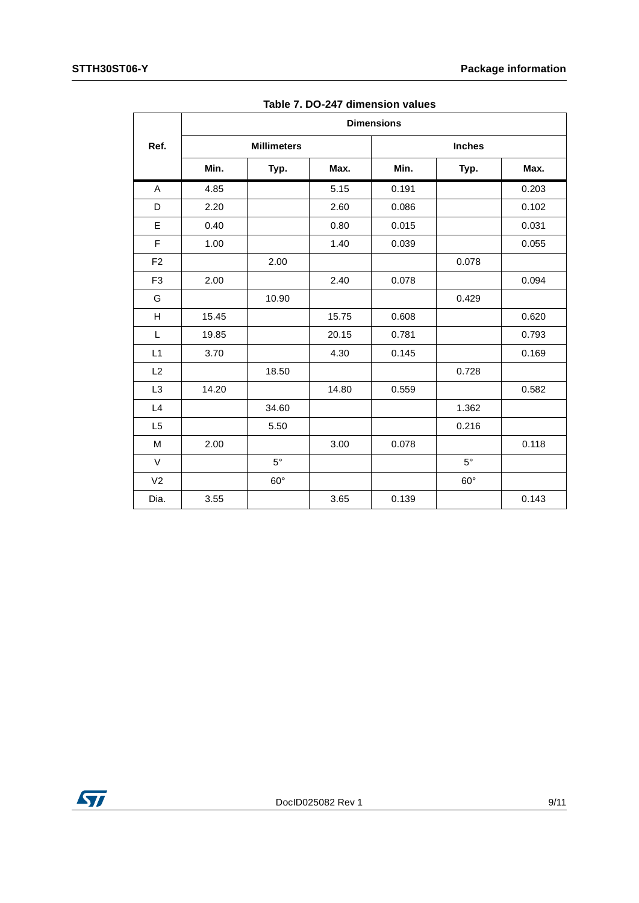|                |       |                    |       | <b>Dimensions</b> |               |       |
|----------------|-------|--------------------|-------|-------------------|---------------|-------|
| Ref.           |       | <b>Millimeters</b> |       |                   | <b>Inches</b> |       |
|                | Min.  | Typ.               | Max.  | Min.              | Typ.          | Max.  |
| A              | 4.85  |                    | 5.15  | 0.191             |               | 0.203 |
| D              | 2.20  |                    | 2.60  | 0.086             |               | 0.102 |
| E              | 0.40  |                    | 0.80  | 0.015             |               | 0.031 |
| F              | 1.00  |                    | 1.40  | 0.039             |               | 0.055 |
| F <sub>2</sub> |       | 2.00               |       |                   | 0.078         |       |
| F <sub>3</sub> | 2.00  |                    | 2.40  | 0.078             |               | 0.094 |
| G              |       | 10.90              |       |                   | 0.429         |       |
| н              | 15.45 |                    | 15.75 | 0.608             |               | 0.620 |
| L              | 19.85 |                    | 20.15 | 0.781             |               | 0.793 |
| L1             | 3.70  |                    | 4.30  | 0.145             |               | 0.169 |
| L2             |       | 18.50              |       |                   | 0.728         |       |
| L <sub>3</sub> | 14.20 |                    | 14.80 | 0.559             |               | 0.582 |
| L4             |       | 34.60              |       |                   | 1.362         |       |
| L5             |       | 5.50               |       |                   | 0.216         |       |
| M              | 2.00  |                    | 3.00  | 0.078             |               | 0.118 |
| V              |       | $5^{\circ}$        |       |                   | $5^{\circ}$   |       |
| V <sub>2</sub> |       | $60^{\circ}$       |       |                   | $60^\circ$    |       |
| Dia.           | 3.55  |                    | 3.65  | 0.139             |               | 0.143 |

**Table 7. DO-247 dimension values**

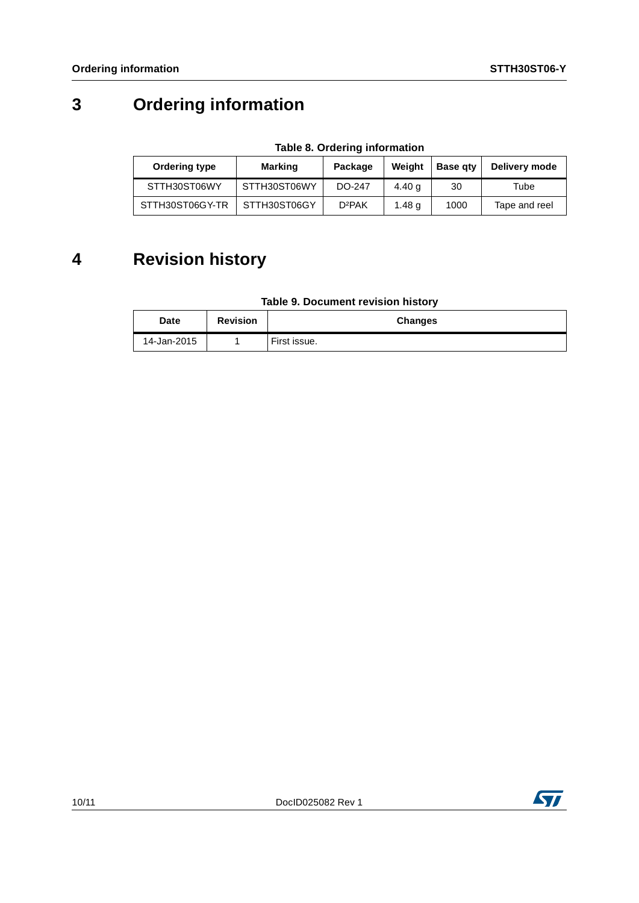## **3 Ordering information**

**Table 8. Ordering information**

| Ordering type   | Marking      | Package            | Weight | <b>Base gtv</b> | Delivery mode |
|-----------------|--------------|--------------------|--------|-----------------|---------------|
| STTH30ST06WY    | STTH30ST06WY | DO-247             | 4.40 a | 30              | Tube          |
| STTH30ST06GY-TR | STTH30ST06GY | D <sup>2</sup> PAK | 1.48 a | 1000            | Tape and reel |

### **4 Revision history**

#### **Table 9. Document revision history**

| Date        | <b>Revision</b> | <b>Changes</b> |
|-------------|-----------------|----------------|
| 14-Jan-2015 |                 | First issue.   |